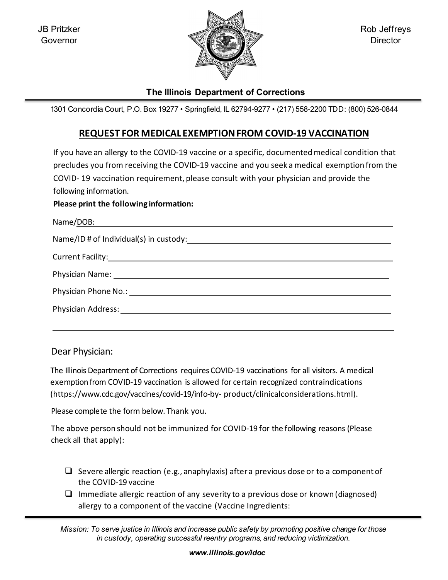

Rob Jeffreys **Director** 

## **The Illinois Department of Corrections**

1301 Concordia Court, P.O. Box 19277 • Springfield, IL 62794-9277 • (217) 558-2200 TDD: (800) 526-0844

# **REQUEST FOR MEDICAL EXEMPTIONFROM COVID-19 VACCINATION**

If you have an allergy to the COVID-19 vaccine or a specific, documented medical condition that precludes you from receiving the COVID-19 vaccine and you seek a medical exemption from the COVID- 19 vaccination requirement, please consult with your physician and provide the following information.

#### **Please print the following information:**

| Name/DOB: |  |  |  |  |  |  |
|-----------|--|--|--|--|--|--|
|           |  |  |  |  |  |  |
|           |  |  |  |  |  |  |
|           |  |  |  |  |  |  |
|           |  |  |  |  |  |  |
|           |  |  |  |  |  |  |
|           |  |  |  |  |  |  |

## Dear Physician:

The Illinois Department of Corrections requires COVID-19 vaccinations for all visitors. A medical exemption from COVID-19 vaccination is allowed for certain recognized contraindications (https:[//www.cdc.gov/vaccines/covid-19/info-by-](http://www.cdc.gov/vaccines/covid-19/info-by-) product/clinicalconsiderations.html).

Please complete the form below. Thank you.

The above person should not be immunized for COVID-19 for the following reasons (Please check all that apply):

- $\Box$  Severe allergic reaction (e.g., anaphylaxis) after a previous dose or to a component of the COVID-19 vaccine
- $\Box$  Immediate allergic reaction of any severity to a previous dose or known (diagnosed) allergy to a component of the vaccine (Vaccine Ingredients:

*Mission: To serve justice in Illinois and increase public safety by promoting positive change for those in custody, operating successful reentry programs, and reducing victimization.*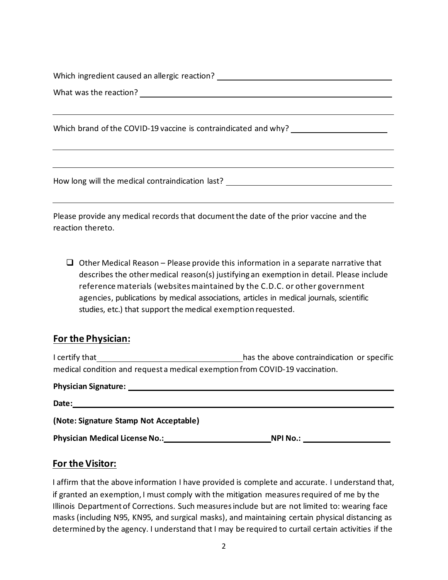Which ingredient caused an allergic reaction?

What was the reaction?

Which brand of the COVID-19 vaccine is contraindicated and why?

How long will the medical contraindication last?

Please provide any medical records that document the date of the prior vaccine and the reaction thereto.

 $\Box$  Other Medical Reason – Please provide this information in a separate narrative that describes the other medical reason(s) justifying an exemption in detail. Please include reference materials (websitesmaintained by the C.D.C. or other government agencies, publications by medical associations, articles in medical journals, scientific studies, etc.) that support the medical exemption requested.

and the control of the control of the control of the control of the control of the control of the control of the

## **For the Physician:**

I certify that has the above contraindication or specific medical condition and request a medical exemption from COVID-19 vaccination.

**Physician Signature:**

| Date: |  |  |
|-------|--|--|
|       |  |  |
|       |  |  |
|       |  |  |

**(Note: Signature Stamp Not Acceptable)**

Physician Medical License No.: Network and Medical Physician Medical License No.: Network and Medical Physician Annual Physician Annual Physician Annual Physician Annual Physician Annual Physician Annual Physician Annual P

## **For the Visitor:**

I affirm that the above information I have provided is complete and accurate. I understand that, if granted an exemption, I must comply with the mitigation measures required of me by the Illinois Department of Corrections. Such measures include but are not limited to: wearing face masks (including N95, KN95, and surgical masks), and maintaining certain physical distancing as determined by the agency. I understand that I may be required to curtail certain activities if the